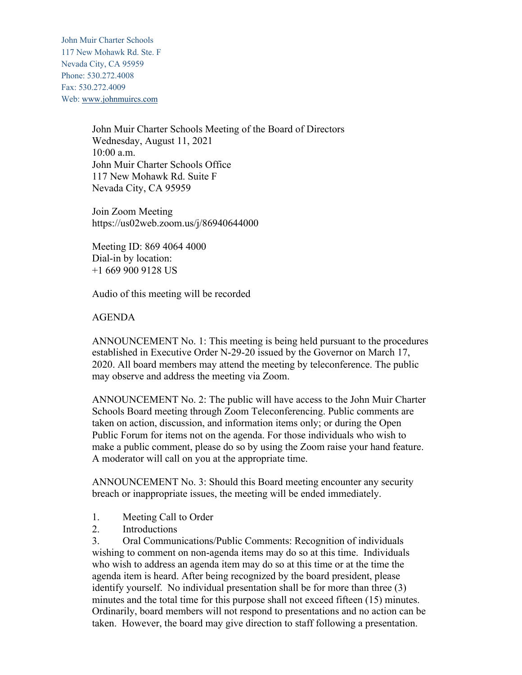John Muir Charter Schools 117 New Mohawk Rd. Ste. F Nevada City, CA 95959 Phone: 530.272.4008 Fax: 530.272.4009 Web: www.johnmuircs.com

> John Muir Charter Schools Meeting of the Board of Directors Wednesday, August 11, 2021 10:00 a.m. John Muir Charter Schools Office 117 New Mohawk Rd. Suite F Nevada City, CA 95959

Join Zoom Meeting https://us02web.zoom.us/j/86940644000

Meeting ID: 869 4064 4000 Dial-in by location: +1 669 900 9128 US

Audio of this meeting will be recorded

## AGENDA

ANNOUNCEMENT No. 1: This meeting is being held pursuant to the procedures established in Executive Order N-29-20 issued by the Governor on March 17, 2020. All board members may attend the meeting by teleconference. The public may observe and address the meeting via Zoom.

ANNOUNCEMENT No. 2: The public will have access to the John Muir Charter Schools Board meeting through Zoom Teleconferencing. Public comments are taken on action, discussion, and information items only; or during the Open Public Forum for items not on the agenda. For those individuals who wish to make a public comment, please do so by using the Zoom raise your hand feature. A moderator will call on you at the appropriate time.

ANNOUNCEMENT No. 3: Should this Board meeting encounter any security breach or inappropriate issues, the meeting will be ended immediately.

- 1. Meeting Call to Order
- 2. Introductions

3. Oral Communications/Public Comments: Recognition of individuals wishing to comment on non-agenda items may do so at this time. Individuals who wish to address an agenda item may do so at this time or at the time the agenda item is heard. After being recognized by the board president, please identify yourself. No individual presentation shall be for more than three (3) minutes and the total time for this purpose shall not exceed fifteen (15) minutes. Ordinarily, board members will not respond to presentations and no action can be taken. However, the board may give direction to staff following a presentation.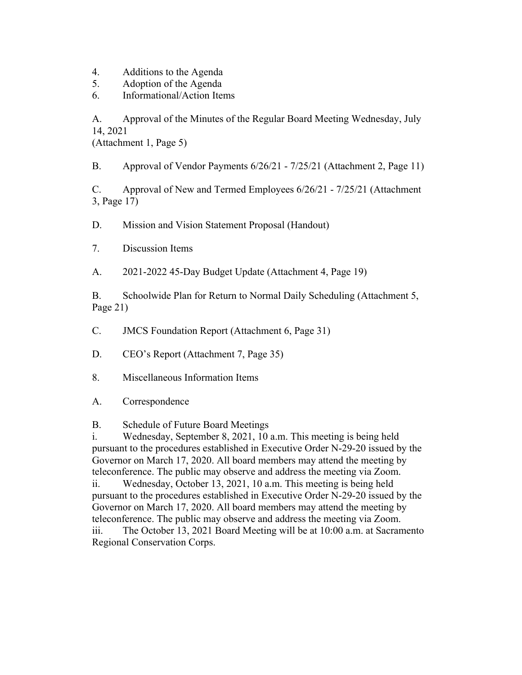- 4. Additions to the Agenda
- 5. Adoption of the Agenda
- 6. Informational/Action Items

A. Approval of the Minutes of the Regular Board Meeting Wednesday, July 14, 2021

(Attachment 1, Page 5)

B. Approval of Vendor Payments 6/26/21 - 7/25/21 (Attachment 2, Page 11)

C. Approval of New and Termed Employees 6/26/21 - 7/25/21 (Attachment 3, Page 17)

D. Mission and Vision Statement Proposal (Handout)

7. Discussion Items

A. 2021-2022 45-Day Budget Update (Attachment 4, Page 19)

B. Schoolwide Plan for Return to Normal Daily Scheduling (Attachment 5, Page 21)

C. JMCS Foundation Report (Attachment 6, Page 31)

D. CEO's Report (Attachment 7, Page 35)

- 8. Miscellaneous Information Items
- A. Correspondence

B. Schedule of Future Board Meetings

i. Wednesday, September 8, 2021, 10 a.m. This meeting is being held pursuant to the procedures established in Executive Order N-29-20 issued by the Governor on March 17, 2020. All board members may attend the meeting by teleconference. The public may observe and address the meeting via Zoom.

ii. Wednesday, October 13, 2021, 10 a.m. This meeting is being held pursuant to the procedures established in Executive Order N-29-20 issued by the Governor on March 17, 2020. All board members may attend the meeting by teleconference. The public may observe and address the meeting via Zoom. iii. The October 13, 2021 Board Meeting will be at 10:00 a.m. at Sacramento Regional Conservation Corps.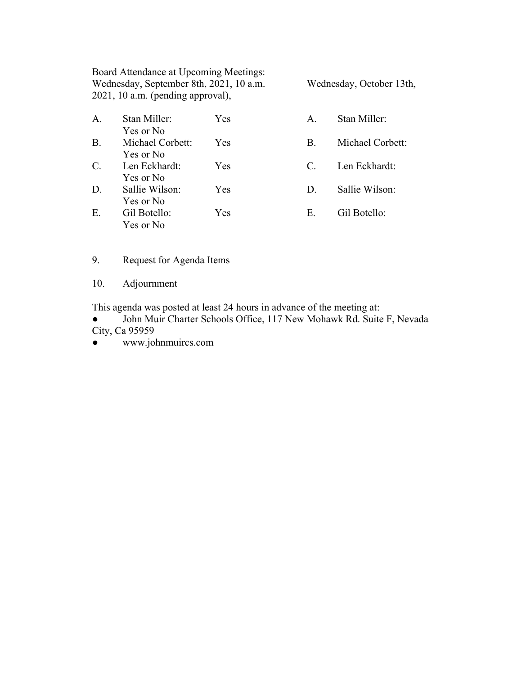Board Attendance at Upcoming Meetings: Wednesday, September 8th, 2021, 10 a.m. Wednesday, October 13th, 2021, 10 a.m. (pending approval),

A. Stan Miller: Yes A. Stan Miller: Yes or No B. Michael Corbett: Yes B. Michael Corbett: Yes or No C. Len Eckhardt: Yes C. Len Eckhardt:

Yes or No D. Sallie Wilson: Yes D. Sallie Wilson: Yes or No E. Gil Botello: Yes E. Gil Botello: Yes or No

9. Request for Agenda Items

10. Adjournment

This agenda was posted at least 24 hours in advance of the meeting at:

John Muir Charter Schools Office, 117 New Mohawk Rd. Suite F, Nevada City, Ca 95959

● www.johnmuircs.com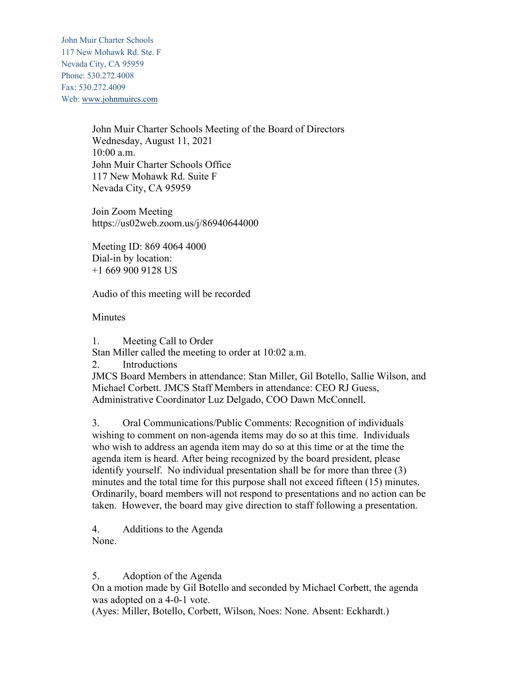John Muir Charter Schools 117 New Mohawk Rd. Ste. F Nevada City, CA 95959 Phone: 530.272.4008 Fax: 530.272.4009 Web: www.johnmuircs.com

> John Muir Charter Schools Meeting of the Board of Directors Wednesday, August 11, 2021 10:00 a.m. John Muir Charter Schools Office 117 New Mohawk Rd. Suite F Nevada City, CA 95959

Join Zoom Meeting https://us02web.zoom.us/j/86940644000

Meeting ID: 869 4064 4000 Dial-in by location: +1 669 900 9128 US

Audio of this meeting will be recorded

**Minutes** 

1. Meeting Call to Order

Stan Miller called the meeting to order at 10:02 a.m.

2. Introductions

JMCS Board Members in attendance: Stan Miller, Gil Botello, Sallie Wilson, and Michael Corbett. JMCS Staff Members in attendance: CEO RJ Guess, Administrative Coordinator Luz Delgado, COO Dawn McConnell.

3. Oral Communications/Public Comments: Recognition of individuals wishing to comment on non-agenda items may do so at this time. Individuals who wish to address an agenda item may do so at this time or at the time the agenda item is heard. After being recognized by the board president, please identify yourself. No individual presentation shall be for more than three (3) minutes and the total time for this purpose shall not exceed fifteen (15) minutes. Ordinarily, board members will not respond to presentations and no action can be taken. However, the board may give direction to staff following a presentation.

4. Additions to the Agenda None.

5. Adoption of the Agenda

On a motion made by Gil Botello and seconded by Michael Corbett, the agenda was adopted on a 4-0-1 vote.

(Ayes: Miller, Botello, Corbett, Wilson, Noes: None. Absent: Eckhardt.)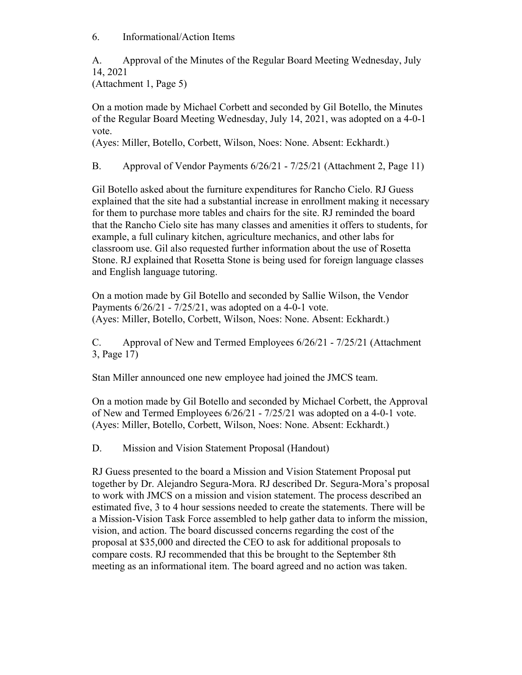6. Informational/Action Items

A. Approval of the Minutes of the Regular Board Meeting Wednesday, July 14, 2021

(Attachment 1, Page 5)

On a motion made by Michael Corbett and seconded by Gil Botello, the Minutes of the Regular Board Meeting Wednesday, July 14, 2021, was adopted on a 4-0-1 vote.

(Ayes: Miller, Botello, Corbett, Wilson, Noes: None. Absent: Eckhardt.)

B. Approval of Vendor Payments 6/26/21 - 7/25/21 (Attachment 2, Page 11)

Gil Botello asked about the furniture expenditures for Rancho Cielo. RJ Guess explained that the site had a substantial increase in enrollment making it necessary for them to purchase more tables and chairs for the site. RJ reminded the board that the Rancho Cielo site has many classes and amenities it offers to students, for example, a full culinary kitchen, agriculture mechanics, and other labs for classroom use. Gil also requested further information about the use of Rosetta Stone. RJ explained that Rosetta Stone is being used for foreign language classes and English language tutoring.

On a motion made by Gil Botello and seconded by Sallie Wilson, the Vendor Payments 6/26/21 - 7/25/21, was adopted on a 4-0-1 vote. (Ayes: Miller, Botello, Corbett, Wilson, Noes: None. Absent: Eckhardt.)

C. Approval of New and Termed Employees 6/26/21 - 7/25/21 (Attachment 3, Page 17)

Stan Miller announced one new employee had joined the JMCS team.

On a motion made by Gil Botello and seconded by Michael Corbett, the Approval of New and Termed Employees 6/26/21 - 7/25/21 was adopted on a 4-0-1 vote. (Ayes: Miller, Botello, Corbett, Wilson, Noes: None. Absent: Eckhardt.)

D. Mission and Vision Statement Proposal (Handout)

RJ Guess presented to the board a Mission and Vision Statement Proposal put together by Dr. Alejandro Segura-Mora. RJ described Dr. Segura-Mora's proposal to work with JMCS on a mission and vision statement. The process described an estimated five, 3 to 4 hour sessions needed to create the statements. There will be a Mission-Vision Task Force assembled to help gather data to inform the mission, vision, and action. The board discussed concerns regarding the cost of the proposal at \$35,000 and directed the CEO to ask for additional proposals to compare costs. RJ recommended that this be brought to the September 8th meeting as an informational item. The board agreed and no action was taken.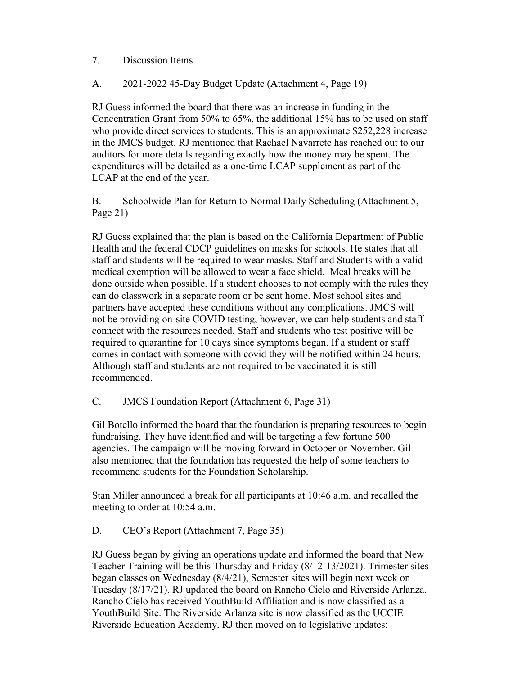## 7. Discussion Items

## A. 2021-2022 45-Day Budget Update (Attachment 4, Page 19)

RJ Guess informed the board that there was an increase in funding in the Concentration Grant from 50% to 65%, the additional 15% has to be used on staff who provide direct services to students. This is an approximate \$252,228 increase in the JMCS budget. RJ mentioned that Rachael Navarrete has reached out to our auditors for more details regarding exactly how the money may be spent. The expenditures will be detailed as a one-time LCAP supplement as part of the LCAP at the end of the year.

B. Schoolwide Plan for Return to Normal Daily Scheduling (Attachment 5, Page 21)

RJ Guess explained that the plan is based on the California Department of Public Health and the federal CDCP guidelines on masks for schools. He states that all staff and students will be required to wear masks. Staff and Students with a valid medical exemption will be allowed to wear a face shield. Meal breaks will be done outside when possible. If a student chooses to not comply with the rules they can do classwork in a separate room or be sent home. Most school sites and partners have accepted these conditions without any complications. JMCS will not be providing on-site COVID testing, however, we can help students and staff connect with the resources needed. Staff and students who test positive will be required to quarantine for 10 days since symptoms began. If a student or staff comes in contact with someone with covid they will be notified within 24 hours. Although staff and students are not required to be vaccinated it is still recommended.

C. JMCS Foundation Report (Attachment 6, Page 31)

Gil Botello informed the board that the foundation is preparing resources to begin fundraising. They have identified and will be targeting a few fortune 500 agencies. The campaign will be moving forward in October or November. Gil also mentioned that the foundation has requested the help of some teachers to recommend students for the Foundation Scholarship.

Stan Miller announced a break for all participants at 10:46 a.m. and recalled the meeting to order at 10:54 a.m.

D. CEO's Report (Attachment 7, Page 35)

RJ Guess began by giving an operations update and informed the board that New Teacher Training will be this Thursday and Friday (8/12-13/2021). Trimester sites began classes on Wednesday (8/4/21), Semester sites will begin next week on Tuesday (8/17/21). RJ updated the board on Rancho Cielo and Riverside Arlanza. Rancho Cielo has received YouthBuild Affiliation and is now classified as a YouthBuild Site. The Riverside Arlanza site is now classified as the UCCIE Riverside Education Academy. RJ then moved on to legislative updates: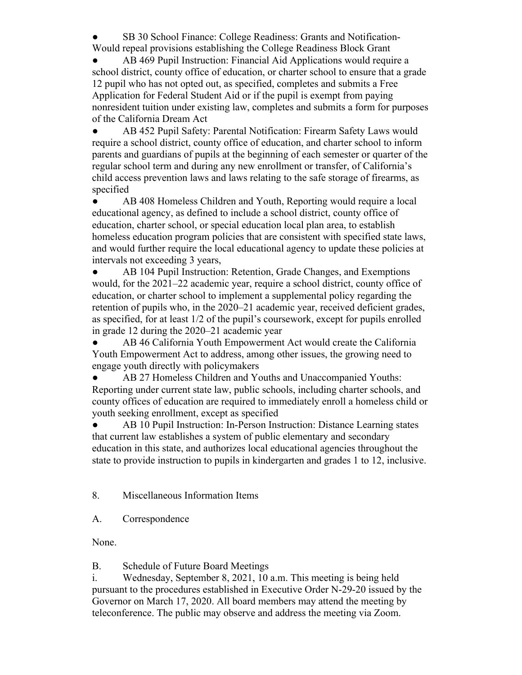SB 30 School Finance: College Readiness: Grants and Notification-Would repeal provisions establishing the College Readiness Block Grant

AB 469 Pupil Instruction: Financial Aid Applications would require a school district, county office of education, or charter school to ensure that a grade 12 pupil who has not opted out, as specified, completes and submits a Free Application for Federal Student Aid or if the pupil is exempt from paying nonresident tuition under existing law, completes and submits a form for purposes of the California Dream Act

● AB 452 Pupil Safety: Parental Notification: Firearm Safety Laws would require a school district, county office of education, and charter school to inform parents and guardians of pupils at the beginning of each semester or quarter of the regular school term and during any new enrollment or transfer, of California's child access prevention laws and laws relating to the safe storage of firearms, as specified

• AB 408 Homeless Children and Youth, Reporting would require a local educational agency, as defined to include a school district, county office of education, charter school, or special education local plan area, to establish homeless education program policies that are consistent with specified state laws, and would further require the local educational agency to update these policies at intervals not exceeding 3 years,

• AB 104 Pupil Instruction: Retention, Grade Changes, and Exemptions would, for the 2021–22 academic year, require a school district, county office of education, or charter school to implement a supplemental policy regarding the retention of pupils who, in the 2020–21 academic year, received deficient grades, as specified, for at least 1/2 of the pupil's coursework, except for pupils enrolled in grade 12 during the 2020–21 academic year

● AB 46 California Youth Empowerment Act would create the California Youth Empowerment Act to address, among other issues, the growing need to engage youth directly with policymakers

● AB 27 Homeless Children and Youths and Unaccompanied Youths: Reporting under current state law, public schools, including charter schools, and county offices of education are required to immediately enroll a homeless child or youth seeking enrollment, except as specified

AB 10 Pupil Instruction: In-Person Instruction: Distance Learning states that current law establishes a system of public elementary and secondary education in this state, and authorizes local educational agencies throughout the state to provide instruction to pupils in kindergarten and grades 1 to 12, inclusive.

8. Miscellaneous Information Items

A. Correspondence

None.

B. Schedule of Future Board Meetings

i. Wednesday, September 8, 2021, 10 a.m. This meeting is being held pursuant to the procedures established in Executive Order N-29-20 issued by the Governor on March 17, 2020. All board members may attend the meeting by teleconference. The public may observe and address the meeting via Zoom.